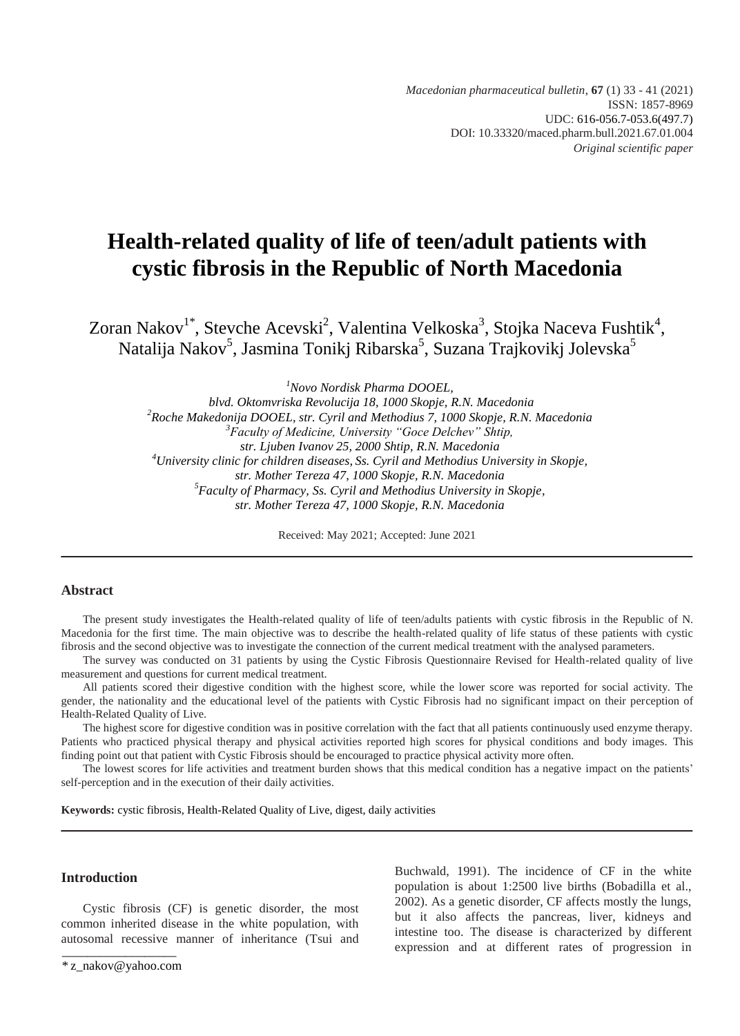*Macedonian pharmaceutical bulletin*, **67** (1) 33 - 41 (2021) ISSN: 1857-8969 UDC: 616-056.7-053.6(497.7) DOI: 10.33320/maced.pharm.bull.2021.67.01.004 *Original scientific paper*

## **Health-related quality of life of teen/adult patients with cystic fibrosis in the Republic of North Macedonia**

Zoran Nakov<sup>1\*</sup>, Stevche Acevski<sup>2</sup>, Valentina Velkoska<sup>3</sup>, Stojka Naceva Fushtik<sup>4</sup>, Natalija Nakov<sup>5</sup>, Jasmina Tonikj Ribarska<sup>5</sup>, Suzana Trajkovikj Jolevska<sup>5</sup>

*<sup>1</sup>Novo Nordisk Pharma DOOEL,*

*blvd. Oktomvriska Revolucija 18, 1000 Skopje, R.N. Macedonia <sup>2</sup>Roche Makedonija DOOEL, str. Cyril and Methodius 7, 1000 Skopje, R.N. Macedonia <sup>3</sup>Faculty of Medicine, University "Goce Delchev" Shtip, str. Ljuben Ivanov 25, 2000 Shtip, R.N. Macedonia <sup>4</sup>University clinic for children diseases, Ss. Cyril and Methodius University in Skopje, str. Mother Tereza 47, 1000 Skopje, R.N. Macedonia 5 Faculty of Pharmacy, Ss. Cyril and Methodius University in Skopje, str. Mother Tereza 47, 1000 Skopje, R.N. Macedonia*

Received: May 2021; Accepted: June 2021

#### **Abstract**

The present study investigates the Health-related quality of life of teen/adults patients with cystic fibrosis in the Republic of N. Macedonia for the first time. The main objective was to describe the health-related quality of life status of these patients with cystic fibrosis and the second objective was to investigate the connection of the current medical treatment with the analysed parameters.

The survey was conducted on 31 patients by using the Cystic Fibrosis Questionnaire Revised for Health-related quality of live measurement and questions for current medical treatment.

All patients scored their digestive condition with the highest score, while the lower score was reported for social activity. The gender, the nationality and the educational level of the patients with Cystic Fibrosis had no significant impact on their perception of Health-Related Quality of Live.

The highest score for digestive condition was in positive correlation with the fact that all patients continuously used enzyme therapy. Patients who practiced physical therapy and physical activities reported high scores for physical conditions and body images. This finding point out that patient with Cystic Fibrosis should be encouraged to practice physical activity more often.

The lowest scores for life activities and treatment burden shows that this medical condition has a negative impact on the patients' self-perception and in the execution of their daily activities.

**Keywords:** cystic fibrosis, Health-Related Quality of Live, digest, daily activities

## **Introduction**

\_\_\_\_\_\_\_\_\_\_\_\_\_\_\_\_\_\_ Cystic fibrosis (CF) is genetic disorder, the most common inherited disease in the white population, with autosomal recessive manner of inheritance (Tsui and Buchwald, 1991). The incidence of CF in the white population is about 1:2500 live births (Bobadilla et al., 2002). As a genetic disorder, CF affects mostly the lungs, but it also affects the pancreas, liver, kidneys and intestine too. The disease is characterized by different expression and at different rates of progression in

<sup>\*</sup> [z\\_nakov@yahoo.com](mailto:z_nakov@yahoo.com)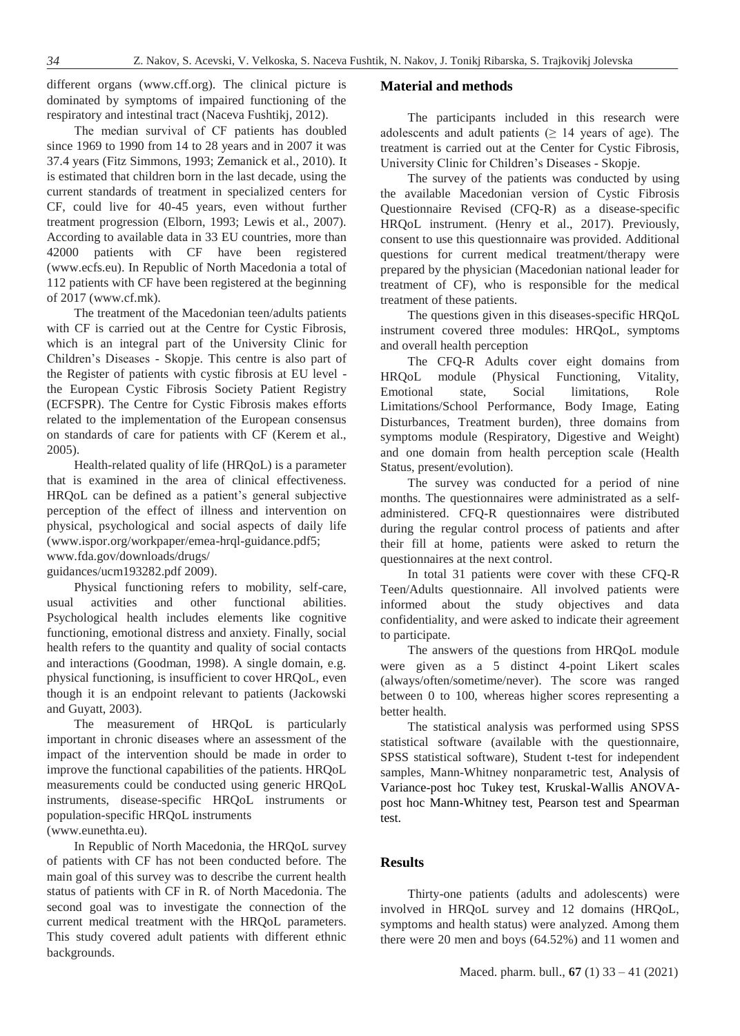different organs (www.cff.org). The clinical picture is dominated by symptoms of impaired functioning of the respiratory and intestinal tract (Naceva Fushtikj, 2012).

The median survival of CF patients has doubled since 1969 to 1990 from 14 to 28 years and in 2007 it was 37.4 years (Fitz Simmons, 1993; Zemanick et al., 2010). It is estimated that children born in the last decade, using the current standards of treatment in specialized centers for CF, could live for 40-45 years, even without further treatment progression (Elborn, 1993; Lewis et al., 2007). According to available data in 33 EU countries, more than 42000 patients with CF have been registered (www.ecfs.eu). In Republic of North Macedonia a total of 112 patients with CF have been registered at the beginning of 2017 [\(www.cf.mk\)](http://www.cf.mk/).

The treatment of the Macedonian teen/adults patients with CF is carried out at the Centre for Cystic Fibrosis, which is an integral part of the University Clinic for Children's Diseases - Skopje. This centre is also part of the Register of patients with cystic fibrosis at EU level the European Cystic Fibrosis Society Patient Registry (ECFSPR). The Centre for Cystic Fibrosis makes efforts related to the implementation of the European consensus on standards of care for patients with CF (Kerem et al., 2005).

Health-related quality of life (HRQoL) is a parameter that is examined in the area of clinical effectiveness. HRQoL can be defined as a patient's general subjective perception of the effect of illness and intervention on physical, psychological and social aspects of daily life [\(www.ispor.org/workpaper/emea-hrql-guidance.pdf5;](http://www.ispor.org/workpaper/emea-hrql-guidance.pdf%205)  [www.fda.gov/downloads/drugs/](http://www.fda.gov/downloads/drugs/)

guidances/ucm193282.pdf 2009).

Physical functioning refers to mobility, self-care, usual activities and other functional abilities. Psychological health includes elements like cognitive functioning, emotional distress and anxiety. Finally, social health refers to the quantity and quality of social contacts and interactions (Goodman, 1998). A single domain, e.g. physical functioning, is insufficient to cover HRQoL, even though it is an endpoint relevant to patients (Jackowski and Guyatt, 2003).

The measurement of HRQoL is particularly important in chronic diseases where an assessment of the impact of the intervention should be made in order to improve the functional capabilities of the patients. HRQoL measurements could be conducted using generic HRQoL instruments, disease-specific HRQoL instruments or population-specific HRQoL instruments

(www.eunethta.eu).

In Republic of North Macedonia, the HRQoL survey of patients with CF has not been conducted before. The main goal of this survey was to describe the current health status of patients with CF in R. of North Macedonia. The second goal was to investigate the connection of the current medical treatment with the HRQoL parameters. This study covered adult patients with different ethnic backgrounds.

#### **Material and methods**

The participants included in this research were adolescents and adult patients  $(≥ 14$  years of age). The treatment is carried out at the Center for Cystic Fibrosis, University Clinic for Children's Diseases - Skopje.

The survey of the patients was conducted by using the available Macedonian version of Cystic Fibrosis Questionnaire Revised (CFQ-R) as a disease-specific HRQoL instrument. (Henry et al., 2017). Previously, consent to use this questionnaire was provided. Additional questions for current medical treatment/therapy were prepared by the physician (Macedonian national leader for treatment of CF), who is responsible for the medical treatment of these patients.

The questions given in this diseases-specific HRQoL instrument covered three modules: HRQoL, symptoms and overall health perception

The CFQ-R Adults cover eight domains from HRQoL module (Physical Functioning, Vitality, Emotional state, Social limitations, Role Limitations/School Performance, Body Image, Eating Disturbances, Treatment burden), three domains from symptoms module (Respiratory, Digestive and Weight) and one domain from health perception scale (Health Status, present/evolution).

The survey was conducted for a period of nine months. The questionnaires were administrated as a selfadministered. CFQ-R questionnaires were distributed during the regular control process of patients and after their fill at home, patients were asked to return the questionnaires at the next control.

In total 31 patients were cover with these CFQ-R Teen/Adults questionnaire. All involved patients were informed about the study objectives and data confidentiality, and were asked to indicate their agreement to participate.

The answers of the questions from HRQoL module were given as a 5 distinct 4-point Likert scales (always/often/sometime/never). The score was ranged between 0 to 100, whereas higher scores representing a better health.

The statistical analysis was performed using SPSS statistical software (available with the questionnaire, SPSS statistical software), Student t-test for independent samples, Mann-Whitney nonparametric test, Analysis of Variance-post hoc Tukey test, Kruskal-Wallis ANOVApost hoc Mann-Whitney test, Pearson test and Spearman test.

## **Results**

Thirty-one patients (adults and adolescents) were involved in HRQoL survey and 12 domains (HRQoL, symptoms and health status) were analyzed. Among them there were 20 men and boys (64.52%) and 11 women and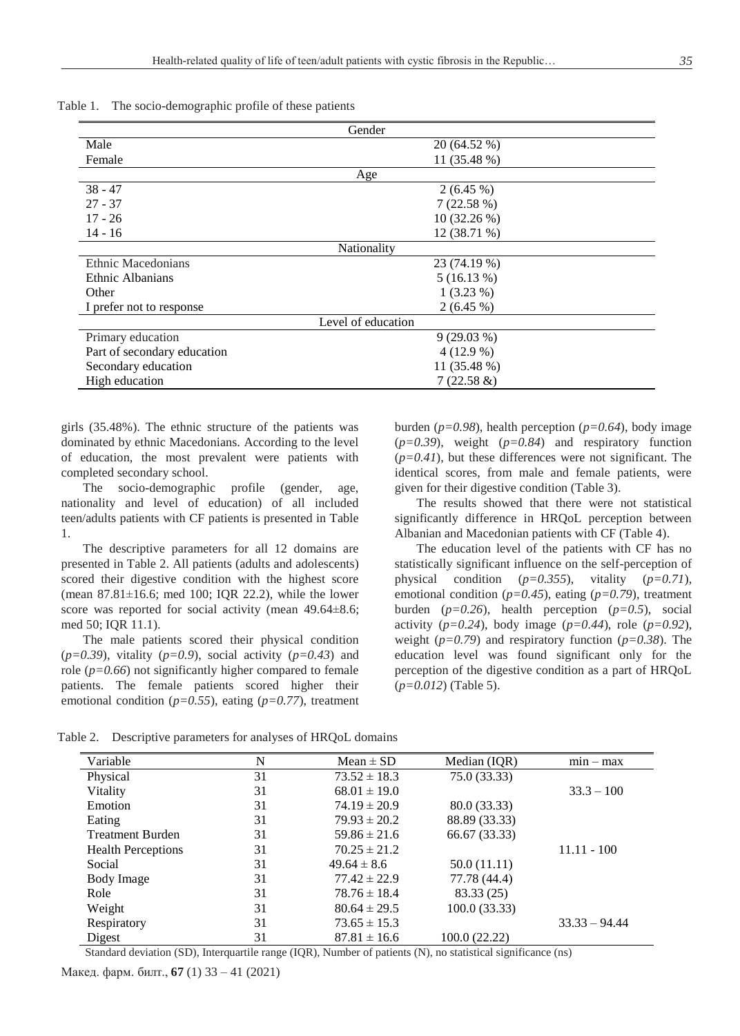|                             | Gender             |  |
|-----------------------------|--------------------|--|
| Male                        | 20 (64.52 %)       |  |
| Female                      | 11 (35.48 %)       |  |
|                             | Age                |  |
| $38 - 47$                   | $2(6.45\%)$        |  |
| $27 - 37$                   | 7(22.58%)          |  |
| $17 - 26$                   | $10(32.26\%)$      |  |
| $14 - 16$                   | 12 (38.71 %)       |  |
|                             | Nationality        |  |
| Ethnic Macedonians          | 23 (74.19 %)       |  |
| Ethnic Albanians            | 5(16.13%)          |  |
| Other                       | $1(3.23\%)$        |  |
| I prefer not to response    | 2(6.45%)           |  |
|                             | Level of education |  |
| Primary education           | $9(29.03\%)$       |  |
| Part of secondary education | $4(12.9\%)$        |  |
| Secondary education         | 11 (35.48 %)       |  |
| High education              | $7(22.58 \&)$      |  |

Table 1. The socio-demographic profile of these patients

girls (35.48%). The ethnic structure of the patients was dominated by ethnic Macedonians. According to the level of education, the most prevalent were patients with completed secondary school.

The socio-demographic profile (gender, age, nationality and level of education) of all included teen/adults patients with CF patients is presented in Table 1.

The descriptive parameters for all 12 domains are presented in Table 2. All patients (adults and adolescents) scored their digestive condition with the highest score (mean 87.81±16.6; med 100; IQR 22.2), while the lower score was reported for social activity (mean 49.64 $\pm$ 8.6; med 50; IQR 11.1).

The male patients scored their physical condition (*p=0.39*), vitality (*p=0.9*), social activity (*p=0.43*) and role  $(p=0.66)$  not significantly higher compared to female patients. The female patients scored higher their emotional condition (*p=0.55*), eating (*p=0.77*), treatment burden (*p=0.98*), health perception (*p=0.64*), body image (*p=0.39*), weight (*p=0.84*) and respiratory function  $(p=0.41)$ , but these differences were not significant. The identical scores, from male and female patients, were given for their digestive condition (Table 3).

The results showed that there were not statistical significantly difference in HRQoL perception between Albanian and Macedonian patients with CF (Table 4).

The education level of the patients with CF has no statistically significant influence on the self-perception of physical condition (*p=0.355*), vitality (*p=0.71*), emotional condition (*p=0.45*), eating (*p=0.79*), treatment burden (*p=0.26*), health perception (*p=0.5*), social activity (*p=0.24*), body image (*p=0.44*), role (*p=0.92*), weight (*p=0.79*) and respiratory function (*p=0.38*). The education level was found significant only for the perception of the digestive condition as a part of HRQoL (*p=0.012*) (Table 5).

Table 2. Descriptive parameters for analyses of HRQoL domains

| Variable                  | N  | $Mean \pm SD$    | Median (IQR)  | $min - max$     |
|---------------------------|----|------------------|---------------|-----------------|
| Physical                  | 31 | $73.52 \pm 18.3$ | 75.0 (33.33)  |                 |
| Vitality                  | 31 | $68.01 \pm 19.0$ |               | $33.3 - 100$    |
| Emotion                   | 31 | $74.19 \pm 20.9$ | 80.0 (33.33)  |                 |
| Eating                    | 31 | $79.93 \pm 20.2$ | 88.89 (33.33) |                 |
| <b>Treatment Burden</b>   | 31 | $59.86 \pm 21.6$ | 66.67 (33.33) |                 |
| <b>Health Perceptions</b> | 31 | $70.25 \pm 21.2$ |               | $11.11 - 100$   |
| Social                    | 31 | $49.64 \pm 8.6$  | 50.0 (11.11)  |                 |
| Body Image                | 31 | $77.42 \pm 22.9$ | 77.78 (44.4)  |                 |
| Role                      | 31 | $78.76 \pm 18.4$ | 83.33 (25)    |                 |
| Weight                    | 31 | $80.64 \pm 29.5$ | 100.0(33.33)  |                 |
| Respiratory               | 31 | $73.65 \pm 15.3$ |               | $33.33 - 94.44$ |
| Digest                    | 31 | $87.81 \pm 16.6$ | 100.0 (22.22) |                 |

Standard deviation (SD), Interquartile range (IQR), Number of patients (N), no statistical significance (ns)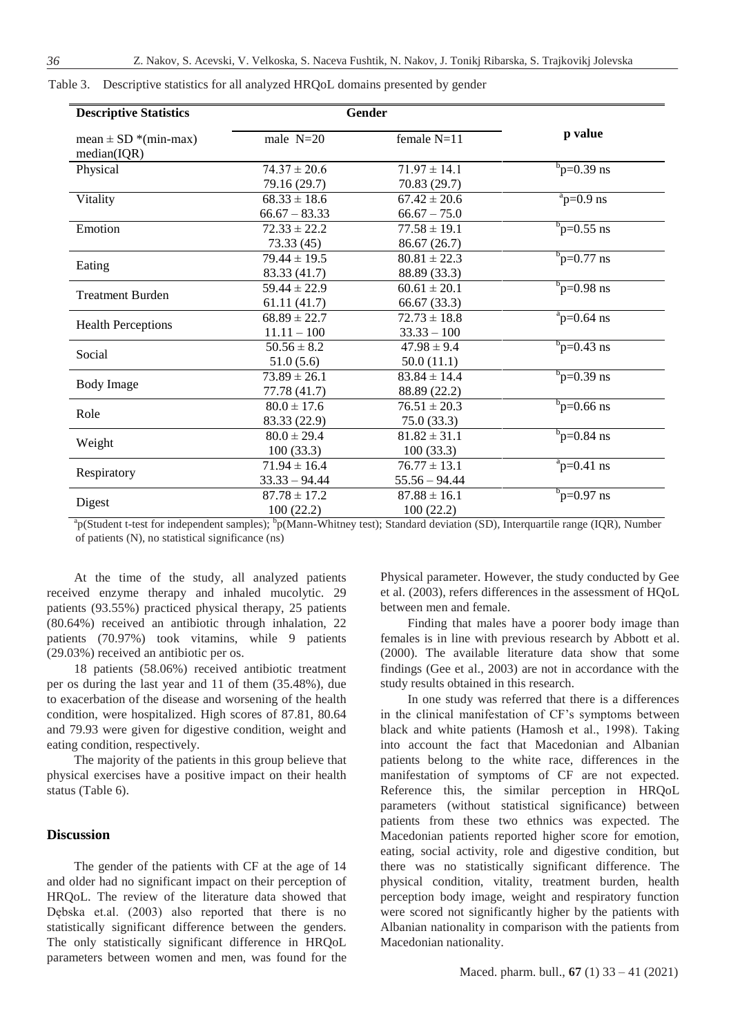| <b>Descriptive Statistics</b>           | Gender           |                  |                                |
|-----------------------------------------|------------------|------------------|--------------------------------|
| mean $\pm$ SD *(min-max)<br>median(IQR) | male $N=20$      | female $N=11$    | p value                        |
| Physical                                | $74.37 \pm 20.6$ | $71.97 \pm 14.1$ | $b_{\rm p=0.39 \; ns}$         |
|                                         | 79.16 (29.7)     | 70.83 (29.7)     |                                |
| Vitality                                | $68.33 \pm 18.6$ | $67.42 \pm 20.6$ | $a$ <sub>p=0.9</sub> ns        |
|                                         | $66.67 - 83.33$  | $66.67 - 75.0$   |                                |
| Emotion                                 | $72.33 \pm 22.2$ | $77.58 \pm 19.1$ | $b_{\rm p=0.55}$ ns            |
|                                         | 73.33(45)        | 86.67 (26.7)     |                                |
|                                         | $79.44 \pm 19.5$ | $80.81 \pm 22.3$ | $b_{\rm p=0.77 \; ns}$         |
| Eating                                  | 83.33 (41.7)     | 88.89 (33.3)     |                                |
| <b>Treatment Burden</b>                 | $59.44 \pm 22.9$ | $60.61 \pm 20.1$ | $b_{\text{p}=0.98}$ ns         |
|                                         | 61.11(41.7)      | 66.67 (33.3)     |                                |
|                                         | $68.89 \pm 22.7$ | $72.73 \pm 18.8$ | $np=0.64$ ns                   |
| <b>Health Perceptions</b>               | $11.11 - 100$    | $33.33 - 100$    |                                |
| Social                                  | $50.56 \pm 8.2$  | $47.98 \pm 9.4$  | $b_{\rm p=0.43 \; ns}$         |
|                                         | 51.0(5.6)        | 50.0(11.1)       |                                |
|                                         | $73.89 \pm 26.1$ | $83.84 \pm 14.4$ | $b_{\rm p=0.39 \; ns}$         |
| <b>Body Image</b>                       | 77.78 (41.7)     | 88.89 (22.2)     |                                |
|                                         | $80.0 \pm 17.6$  | $76.51 \pm 20.3$ | $b_{\text{p}=0.66}$ ns         |
| Role                                    | 83.33 (22.9)     | 75.0(33.3)       |                                |
|                                         | $80.0 \pm 29.4$  | $81.82 \pm 31.1$ | $b_{\text{p}=0.84}$ ns         |
| Weight                                  | 100(33.3)        | 100(33.3)        |                                |
|                                         | $71.94 \pm 16.4$ | $76.77 \pm 13.1$ | $a$ p=0.41 ns                  |
| Respiratory                             | $33.33 - 94.44$  | $55.56 - 94.44$  |                                |
|                                         | $87.78 \pm 17.2$ | $87.88 \pm 16.1$ | $b_{\text{p=0.97} \text{ ns}}$ |
| Digest                                  | 100(22.2)        | 100(22.2)        |                                |

Table 3. Descriptive statistics for all analyzed HRQoL domains presented by gender

<sup>a</sup>p(Student t-test for independent samples); <sup>b</sup>p(Mann-Whitney test); Standard deviation (SD), Interquartile range (IQR), Number of patients (N), no statistical significance (ns)

At the time of the study, all analyzed patients received enzyme therapy and inhaled mucolytic. 29 patients (93.55%) practiced physical therapy, 25 patients (80.64%) received an antibiotic through inhalation, 22 patients (70.97%) took vitamins, while 9 patients (29.03%) received an antibiotic per os.

18 patients (58.06%) received antibiotic treatment per os during the last year and 11 of them (35.48%), due to exacerbation of the disease and worsening of the health condition, were hospitalized. High scores of 87.81, 80.64 and 79.93 were given for digestive condition, weight and eating condition, respectively.

The majority of the patients in this group believe that physical exercises have a positive impact on their health status (Table 6).

### **Discussion**

The gender of the patients with CF at the age of 14 and older had no significant impact on their perception of HRQoL. The review of the literature data showed that Dębska et.al. (2003) also reported that there is no statistically significant difference between the genders. The only statistically significant difference in HRQoL parameters between women and men, was found for the Physical parameter. However, the study conducted by Gee et al. (2003), refers differences in the assessment of HQoL between men and female.

Finding that males have a poorer body image than females is in line with previous research by Abbott et al. (2000). The available literature data show that some findings (Gee et al., 2003) are not in accordance with the study results obtained in this research.

In one study was referred that there is a differences in the clinical manifestation of CF's symptoms between black and white patients (Hamosh et al., 1998). Тaking into account the fact that Macedonian and Albanian patients belong to the white race, differences in the manifestation of symptoms of CF are not expected. Reference this, the similar perception in HRQoL parameters (without statistical significance) between patients from these two ethnics was expected. The Macedonian patients reported higher score for emotion, eating, social activity, role and digestive condition, but there was no statistically significant difference. The physical condition, vitality, treatment burden, health perception body image, weight and respiratory function were scored not significantly higher by the patients with Albanian nationality in comparison with the patients from Macedonian nationality.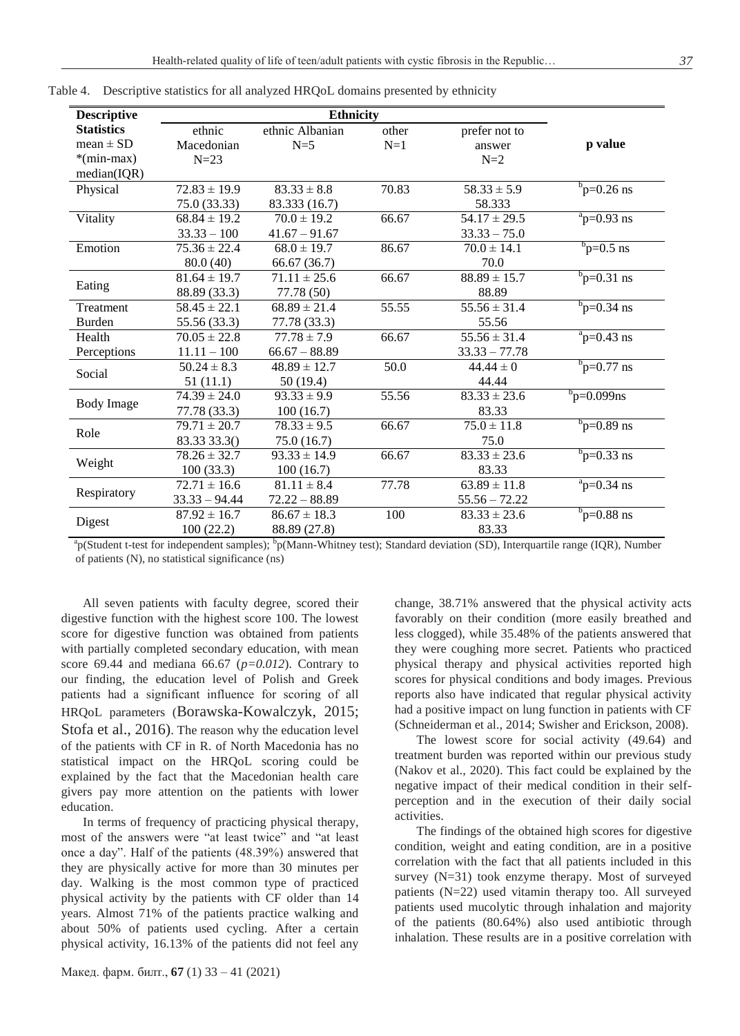| <b>Descriptive</b> |                             | <b>Ethnicity</b> |       |                  |                                |
|--------------------|-----------------------------|------------------|-------|------------------|--------------------------------|
| <b>Statistics</b>  | ethnic                      | ethnic Albanian  | other | prefer not to    |                                |
| $mean \pm SD$      | Macedonian                  | $N=5$            | $N=1$ | answer           | p value                        |
| *(min-max)         | $N=23$                      |                  |       | $N=2$            |                                |
| median(IQR)        |                             |                  |       |                  |                                |
| Physical           | $72.83 \pm 19.9$            | $83.33 \pm 8.8$  | 70.83 | $58.33 \pm 5.9$  | $b_{\text{p=0.26} \text{ ns}}$ |
|                    | 75.0 (33.33)                | 83.333 (16.7)    |       | 58.333           |                                |
| Vitality           | $68.84 \pm 19.2$            | $70.0 \pm 19.2$  | 66.67 | $54.17 \pm 29.5$ | $a$ <sub>p=0.93</sub> ns       |
|                    | $33.33 - 100$               | $41.67 - 91.67$  |       | $33.33 - 75.0$   |                                |
| Emotion            | $75.36 \pm 22.4$            | $68.0 \pm 19.7$  | 86.67 | $70.0 \pm 14.1$  | $b_{\text{p=0.5} \text{ ns}}$  |
|                    | 80.0 (40)                   | 66.67(36.7)      |       | 70.0             |                                |
|                    | $81.64 \pm 19.7$            | $71.11 \pm 25.6$ | 66.67 | $88.89 \pm 15.7$ | $b_{\text{p=0.31} \text{ ns}}$ |
| Eating             | 88.89 (33.3)                | 77.78 (50)       |       | 88.89            |                                |
| Treatment          | $58.45 \pm 22.1$            | $68.89 \pm 21.4$ | 55.55 | $55.56 \pm 31.4$ | $b_{\text{p=0.34} \text{ ns}}$ |
| <b>Burden</b>      | 55.56 (33.3)                | 77.78 (33.3)     |       | 55.56            |                                |
| Health             | $70.05 \pm 22.8$            | $77.78 \pm 7.9$  | 66.67 | $55.56 \pm 31.4$ | $np=0.43$ ns                   |
| Perceptions        | $11.11 - 100$               | $66.67 - 88.89$  |       | $33.33 - 77.78$  |                                |
| Social             | $50.24 \pm 8.3$             | $48.89 \pm 12.7$ | 50.0  | $44.44 \pm 0$    | $b_{\rm p=0.77 \; ns}$         |
|                    | 51(11.1)                    | 50 (19.4)        |       | 44.44            |                                |
|                    | $\overline{74.39} \pm 24.0$ | $93.33 \pm 9.9$  | 55.56 | $83.33 \pm 23.6$ | $b_{\text{p}=0.099}$ ns        |
| <b>Body Image</b>  | 77.78 (33.3)                | 100(16.7)        |       | 83.33            |                                |
| Role               | $79.71 \pm 20.7$            | $78.33 \pm 9.5$  | 66.67 | $75.0 \pm 11.8$  | $b_{\rm p=0.89 \; ns}$         |
|                    | 83.33 33.3()                | 75.0(16.7)       |       | 75.0             |                                |
|                    | $78.26 \pm 32.7$            | $93.33 \pm 14.9$ | 66.67 | $83.33 \pm 23.6$ | $b_{\text{p=0.33} \text{ ns}}$ |
| Weight             | 100(33.3)                   | 100(16.7)        |       | 83.33            |                                |
|                    | $72.71 \pm 16.6$            | $81.11 \pm 8.4$  | 77.78 | $63.89 \pm 11.8$ | $np=0.34$ ns                   |
| Respiratory        | $33.33 - 94.44$             | $72.22 - 88.89$  |       | $55.56 - 72.22$  |                                |
|                    | $87.92 \pm 16.7$            | $86.67 \pm 18.3$ | 100   | $83.33 \pm 23.6$ | $b_{\rm p=0.88 \; ns}$         |
| Digest             | 100(22.2)                   | 88.89 (27.8)     |       | 83.33            |                                |

Table 4. Descriptive statistics for all analyzed HRQoL domains presented by ethnicity

<sup>a</sup>p(Student t-test for independent samples); <sup>b</sup>p(Mann-Whitney test); Standard deviation (SD), Interquartile range (IQR), Number of patients (N), no statistical significance (ns)

All seven patients with faculty degree, scored their digestive function with the highest score 100. The lowest score for digestive function was obtained from patients with partially completed secondary education, with mean score 69.44 and mediana 66.67 (*p=0.012*). Contrary to our finding, the education level of Polish and Greek patients had а significant influence for scoring of all HRQoL parameters (Borawska-Kowalczyk, 2015; Stofa et al., 2016). The reason why the education level of the patients with CF in R. of North Macedonia has no statistical impact on the HRQoL scoring could be explained by the fact that the Macedonian health care givers pay more attention on the patients with lower education.

In terms of frequency of practicing physical therapy, most of the answers were "at least twice" and "at least once a day". Half of the patients (48.39%) answered that they are physically active for more than 30 minutes per day. Walking is the most common type of practiced physical activity by the patients with CF older than 14 years. Almost 71% of the patients practice walking and about 50% of patients used cycling. After a certain physical activity, 16.13% of the patients did not feel any

Макед. фарм. билт., **67** (1) 33 – 41 (2021)

change, 38.71% answered that the physical activity acts favorably on their condition (more easily breathed and less clogged), while 35.48% of the patients answered that they were coughing more secret. Patients who practiced physical therapy and physical activities reported high scores for physical conditions and body images. Previous reports also have indicated that regular physical activity had a positive impact on lung function in patients with CF (Schneiderman et al., 2014; Swisher and Erickson, 2008).

The lowest score for social activity (49.64) and treatment burden was reported within our previous study (Nakov et al., 2020). This fact could be explained by the negative impact of their medical condition in their selfperception and in the execution of their daily social activities.

The findings of the obtained high scores for digestive condition, weight and eating condition, are in a positive correlation with the fact that all patients included in this survey (N=31) took enzyme therapy. Most of surveyed patients (N=22) used vitamin therapy too. All surveyed patients used mucolytic through inhalation and majority of the patients (80.64%) also used antibiotic through inhalation. These results are in a positive correlation with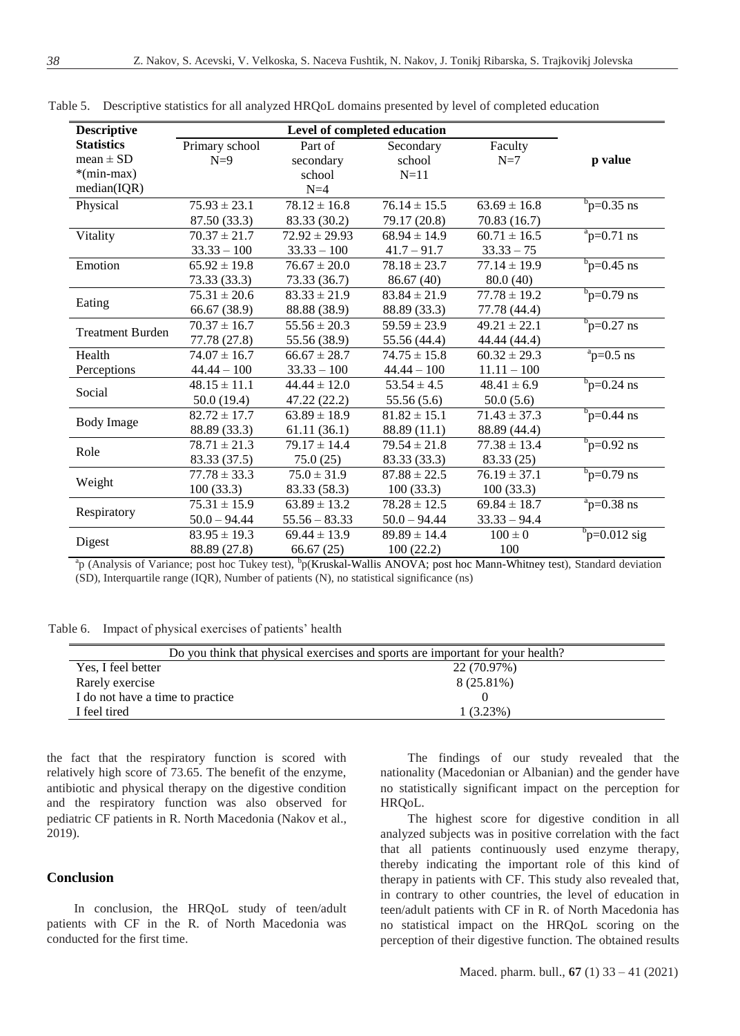| <b>Descriptive</b>      | Level of completed education |                   |                  |                  |                                |
|-------------------------|------------------------------|-------------------|------------------|------------------|--------------------------------|
| <b>Statistics</b>       | Primary school               | Part of           | Secondary        | Faculty          |                                |
| $mean \pm SD$           | $N=9$                        | secondary         | school           | $N=7$            | p value                        |
| $*(min-max)$            |                              | school            | $N=11$           |                  |                                |
| median(IQR)             |                              | $N=4$             |                  |                  |                                |
| Physical                | $75.93 \pm 23.1$             | $78.12 \pm 16.8$  | $76.14 \pm 15.5$ | $63.69 \pm 16.8$ | $b_{\text{p=0.35} \text{ ns}}$ |
|                         | 87.50 (33.3)                 | 83.33 (30.2)      | 79.17 (20.8)     | 70.83 (16.7)     |                                |
| Vitality                | $70.37 \pm 21.7$             | $72.92 \pm 29.93$ | $68.94 \pm 14.9$ | $60.71 \pm 16.5$ | $\frac{a}{p}$ =0.71 ns         |
|                         | $33.33 - 100$                | $33.33 - 100$     | $41.7 - 91.7$    | $33.33 - 75$     |                                |
| Emotion                 | $65.92 \pm 19.8$             | $76.67 \pm 20.0$  | $78.18 \pm 23.7$ | $77.14 \pm 19.9$ | $b_{\text{p=0.45} \text{ ns}}$ |
|                         | 73.33 (33.3)                 | 73.33 (36.7)      | 86.67(40)        | 80.0(40)         |                                |
|                         | $75.31 \pm 20.6$             | $83.33 \pm 21.9$  | $83.84 \pm 21.9$ | $77.78 \pm 19.2$ | $b_{\text{p=0.79}}$ ns         |
| Eating                  | 66.67 (38.9)                 | 88.88 (38.9)      | 88.89 (33.3)     | 77.78 (44.4)     |                                |
| <b>Treatment Burden</b> | $70.37 \pm 16.7$             | $55.56 \pm 20.3$  | $59.59 \pm 23.9$ | $49.21 \pm 22.1$ | $\frac{b}{p=0.27}$ ns          |
|                         | 77.78 (27.8)                 | 55.56 (38.9)      | 55.56 (44.4)     | 44.44 (44.4)     |                                |
| Health                  | $74.07 \pm 16.7$             | $66.67 \pm 28.7$  | $74.75 \pm 15.8$ | $60.32 \pm 29.3$ | $a$ <sub>p=0.5</sub> ns        |
| Perceptions             | $44.44 - 100$                | $33.33 - 100$     | $44.44 - 100$    | $11.11 - 100$    |                                |
| Social                  | $48.15 \pm 11.1$             | $44.44 \pm 12.0$  | $53.54 \pm 4.5$  | $48.41 \pm 6.9$  | $b_{\text{p}=0.24}$ ns         |
|                         | 50.0(19.4)                   | 47.22 (22.2)      | 55.56 (5.6)      | 50.0(5.6)        |                                |
| <b>Body Image</b>       | $82.72 \pm 17.7$             | $63.89 \pm 18.9$  | $81.82 \pm 15.1$ | $71.43 \pm 37.3$ | $b_{\text{p=0.44} \text{ ns}}$ |
|                         | 88.89 (33.3)                 | 61.11(36.1)       | 88.89 (11.1)     | 88.89 (44.4)     |                                |
| Role                    | $78.71 \pm 21.3$             | $79.17 \pm 14.4$  | $79.54 \pm 21.8$ | $77.38 \pm 13.4$ | $b_{\text{p}=0.92 \text{ ns}}$ |
|                         | 83.33 (37.5)                 | 75.0(25)          | 83.33 (33.3)     | 83.33 (25)       |                                |
| Weight                  | $77.78 \pm 33.3$             | $75.0 \pm 31.9$   | $87.88 \pm 22.5$ | $76.19 \pm 37.1$ | $b_{\text{p}=0.79}$ ns         |
|                         | 100(33.3)                    | 83.33 (58.3)      | 100(33.3)        | 100(33.3)        |                                |
| Respiratory             | $75.31 \pm 15.9$             | $63.89 \pm 13.2$  | $78.28 \pm 12.5$ | $69.84 \pm 18.7$ | $\frac{a}{2}$ p=0.38 ns        |
|                         | $50.0 - 94.44$               | $55.56 - 83.33$   | $50.0 - 94.44$   | $33.33 - 94.4$   |                                |
|                         | $83.95 \pm 19.3$             | $69.44 \pm 13.9$  | $89.89 \pm 14.4$ | $100 \pm 0$      | $b_{\rm p=0.012~sig}$          |
| Digest                  | 88.89 (27.8)                 | 66.67(25)         | 100(22.2)        | 100              |                                |

Table 5. Descriptive statistics for all analyzed HRQoL domains presented by level of completed education

<sup>a</sup>p (Analysis of Variance; post hoc Tukey test), <sup>b</sup>p(Kruskal-Wallis ANOVA; post hoc Mann-Whitney test), Standard deviation (SD), Interquartile range (IQR), Number of patients (N), no statistical significance (ns)

Table 6. Impact of physical exercises of patients' health

| Do you think that physical exercises and sports are important for your health? |             |  |  |
|--------------------------------------------------------------------------------|-------------|--|--|
| Yes, I feel better<br>22 (70.97%)                                              |             |  |  |
| Rarely exercise                                                                | 8 (25.81%)  |  |  |
| I do not have a time to practice                                               |             |  |  |
| I feel tired                                                                   | $1(3.23\%)$ |  |  |

the fact that the respiratory function is scored with relatively high score of 73.65. The benefit of the enzyme, antibiotic and physical therapy on the digestive condition and the respiratory function was also observed for pediatric CF patients in R. North Macedonia (Nakov et al., 2019).

## **Conclusion**

In conclusion, the HRQoL study of teen/adult patients with CF in the R. of North Macedonia was conducted for the first time.

The findings of our study revealed that the nationality (Macedonian or Albanian) and the gender have no statistically significant impact on the perception for HRQoL.

The highest score for digestive condition in all analyzed subjects was in positive correlation with the fact that all patients continuously used enzyme therapy, thereby indicating the important role of this kind of therapy in patients with CF. This study also revealed that, in contrary to other countries, the level of education in teen/adult patients with CF in R. of North Macedonia has no statistical impact on the HRQoL scoring on the perception of their digestive function. The obtained results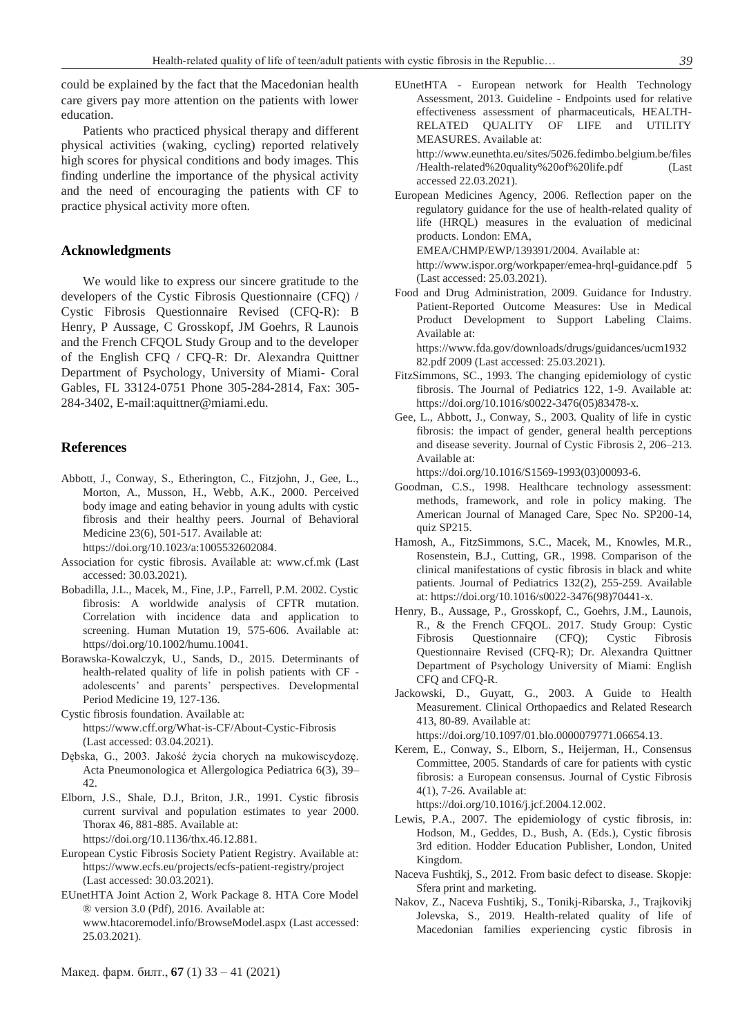could be explained by the fact that the Macedonian health care givers pay more attention on the patients with lower education.

Patients who practiced physical therapy and different physical activities (waking, cycling) reported relatively high scores for physical conditions and body images. This finding underline the importance of the physical activity and the need of encouraging the patients with CF to practice physical activity more often.

#### **Acknowledgments**

We would like to express our sincere gratitude to the developers of the Cystic Fibrosis Questionnaire (CFQ) / Cystic Fibrosis Questionnaire Revised (CFQ-R): B Henry, P Aussage, C Grosskopf, JM Goehrs, R Launois and the French CFQOL Study Group and to the developer of the English CFQ / CFQ-R: Dr. Alexandra Quittner Department of Psychology, University of Miami- Coral Gables, FL 33124-0751 Phone 305-284-2814, Fax: 305- 284-3402, E-mail:aquittner@miami.edu.

#### **References**

Abbott, J., Conway, S., Etherington, C., Fitzjohn, J., Gee, L., Morton, A., Musson, H., Webb, A.K., 2000. Perceived body image and eating behavior in young adults with cystic fibrosis and their healthy peers. Journal of Behavioral Medicine 23(6), 501-517. Available at:

[https://doi.org/10.1023/a:1005532602084.](https://doi.org/10.1023/a:1005532602084)

- Association for cystic fibrosis. Available at: [www.cf.mk](http://www.cf.mk/) (Last accessed: 30.03.2021).
- Bobadilla, J.L., Macek, M., Fine, J.P., Farrell, P.M. 2002. Cystic fibrosis: A worldwide analysis of CFTR mutation. Correlation with incidence data and application to screening. Human Mutation 19, 575-606. Available at: https//doi.org/10.1002/humu.10041.
- Borawska-Kowalczyk, U., Sands, D., 2015. Determinants of health-related quality of life in polish patients with CF adolescents' and parents' perspectives. Developmental Period Medicine 19, 127-136.
- Cystic fibrosis foundation. Available at: <https://www.cff.org/What-is-CF/About-Cystic-Fibrosis> (Last accessed: 03.04.2021).
- Dębska, G., 2003. Jakość życia chorych na mukowiscydozę. Acta Pneumonologica et Allergologica Pediatrica 6(3), 39– 42.
- Elborn, J.S., Shale, D.J., Briton, J.R., 1991. Cystic fibrosis current survival and population estimates to year 2000. Thorax 46, 881-885. Available at: [https://doi.org/10.1136/thx.46.12.881.](https://doi.org/10.1136/thx.46.12.881)
- European Cystic Fibrosis Society Patient Registry. Available at: <https://www.ecfs.eu/projects/ecfs-patient-registry/project> (Last accessed: 30.03.2021).
- EUnetHTA Joint Action 2, Work Package 8. HTA Core Model ® version 3.0 (Pdf), 2016. Available at: [www.htacoremodel.info/BrowseModel.aspx](http://www.htacoremodel.info/BrowseModel.aspx) (Last accessed: 25.03.2021).

EUnetHTA - European network for Health Technology Assessment, 2013. Guideline - Endpoints used for relative effectiveness assessment of pharmaceuticals, HEALTH-RELATED QUALITY OF LIFE and UTILITY MEASURES. Available at: [http://www.eunethta.eu/sites/5026.fedimbo.belgium.be/files](http://www.eunethta.eu/sites/5026.fedimbo.belgium.be/files/Health-related%20quality%20of%20life.pdf)

[/Health-related%20quality%20of%20life.pdf](http://www.eunethta.eu/sites/5026.fedimbo.belgium.be/files/Health-related%20quality%20of%20life.pdf) (Last accessed 22.03.2021).

European Medicines Agency, 2006. Reflection paper on the regulatory guidance for the use of health-related quality of life (HRQL) measures in the evaluation of medicinal products. London: EMA,

EMEA/CHMP/EWP/139391/2004. Available at:

[http://www.ispor.org/workpaper/emea-hrql-guidance.pdf 5](http://www.ispor.org/workpaper/emea-hrql-guidance.pdf%205) (Last accessed: 25.03.2021).

Food and Drug Administration, 2009. Guidance for Industry. Patient-Reported Outcome Measures: Use in Medical Product Development to Support Labeling Claims. Available at:

[https://www.fda.gov/downloads/drugs/guidances/ucm1932](https://www.fda.gov/downloads/drugs/guidances/ucm193282.pdf%202009) [82.pdf 2009](https://www.fda.gov/downloads/drugs/guidances/ucm193282.pdf%202009) (Last accessed: 25.03.2021).

- FitzSimmons, SC., 1993. The changing epidemiology of cystic fibrosis. The Journal of Pediatrics 122, 1-9. Available at: [https://doi.org/10.1016/s0022-3476\(05\)83478-x.](https://doi.org/10.1016/s0022-3476(05)83478-x)
- Gee, L., Abbott, J., Conway, S., 2003. Quality of life in cystic fibrosis: the impact of gender, general health perceptions and disease severity. Journal of Cystic Fibrosis 2, 206–213. Available at:

[https://doi.org/10.1016/S1569-1993\(03\)00093-6.](https://doi.org/10.1016/S1569-1993(03)00093-6)

- Goodman, C.S., 1998. Healthcare technology assessment: methods, framework, and role in policy making. The American Journal of Managed Care, Spec No. SP200-14, quiz SP215.
- Hamosh, A., FitzSimmons, S.C., Macek, M., Knowles, M.R., Rosenstein, B.J., Cutting, GR., 1998. Comparison of the clinical manifestations of cystic fibrosis in black and white patients. Journal of Pediatrics 132(2), 255-259. Available at[: https://doi.org/10.1016/s0022-3476\(98\)70441-x.](https://doi.org/10.1016/s0022-3476(98)70441-x)
- Henry, B., Aussage, P., Grosskopf, C., Goehrs, J.M., Launois, R., & the French CFQOL. 2017. Study Group: Cystic Fibrosis Questionnaire (CFQ); Cystic Fibrosis Questionnaire Revised (CFQ-R); Dr. Alexandra Quittner Department of Psychology University of Miami: English CFQ and CFQ-R.
- Jackowski, D., Guyatt, G., 2003. A Guide to Health Measurement. Clinical Orthopaedics and Related Research 413, 80-89. Available at:

[https://doi.org/10.1097/01.blo.0000079771.06654.13.](https://doi.org/10.1097/01.blo.0000079771.06654.13) Kerem, E., Conway, S., Elborn, S., Heijerman, H., Consensus

Committee, 2005. Standards of care for patients with cystic fibrosis: a European consensus. Journal of Cystic Fibrosis 4(1), 7-26. Available at:

[https://doi.org/10.1016/j.jcf.2004.12.002.](https://doi.org/10.1016/j.jcf.2004.12.002)

- Lewis, P.A., 2007. The epidemiology of cystic fibrosis, in: Hodson, M., Geddes, D., Bush, A. (Eds.), Cystic fibrosis 3rd edition. Hodder Education Publisher, London, United Kingdom.
- Naceva Fushtikj, S., 2012. From basic defect to disease. Skopje: Sfera print and marketing.
- Nakov, Z., Naceva Fushtikj, S., Tonikј-Ribarska, J., Trajkovikj Jolevska, S., 2019. Health-related quality of life of Macedonian families experiencing cystic fibrosis in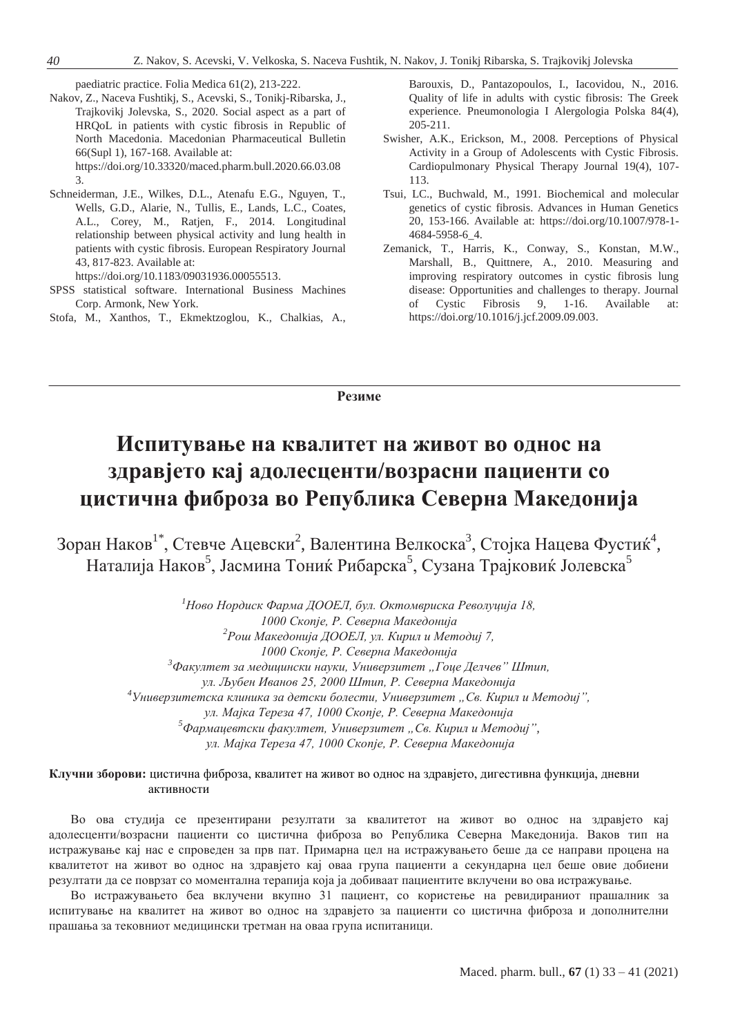paediatric practice. Folia Medica 61(2), 213-222.

- Nakov, Z., Naceva Fushtikj, S., Acevski, S., Tonikj-Ribarska, J., Trajkovikj Jolevska, S., 2020. Social aspect as a part of HRQoL in patients with cystic fibrosis in Republic of North Macedonia. Macedonian Pharmaceutical Bulletin 66(Supl 1), 167-168. Available at: [https://doi.org/10.33320/maced.pharm.bull.2020.66.03.08](https://doi.org/10.33320/maced.pharm.bull.2020.66.03.083) [3.](https://doi.org/10.33320/maced.pharm.bull.2020.66.03.083)
- Schneiderman, J.E., Wilkes, D.L., Atenafu E.G., Nguyen, T., Wells, G.D., Alarie, N., Tullis, E., Lands, L.C., Coates, A.L., Corey, M., Ratjen, F., 2014. Longitudinal relationship between physical activity and lung health in patients with cystic fibrosis. European Respiratory Journal 43, 817-823. Available at:

[https://doi.org/10.1183/09031936.00055513.](https://doi.org/10.1183/09031936.00055513)

- SPSS statistical software. International Business Machines Corp. Armonk, New York.
- Stofa, M., Xanthos, T., Ekmektzoglou, K., Chalkias, A.,

Barouxis, D., Pantazopoulos, I., Iacovidou, N., 2016. Quality of life in adults with cystic fibrosis: The Greek experience. Pneumonologia I Alergologia Polska 84(4), 205-211.

- Swisher, A.K., Erickson, M., 2008. Perceptions of Physical Activity in a Group of Adolescents with Cystic Fibrosis. Cardiopulmonary Physical Therapy Journal 19(4), 107- 113.
- Tsui, LC., Buchwald, M., 1991. Biochemical and molecular genetics of cystic fibrosis. Advances in Human Genetics 20, 153-166. Available at: [https://doi.org/10.1007/978-1-](https://doi.org/10.1007/978-1-4684-5958-6_4) [4684-5958-6\\_4.](https://doi.org/10.1007/978-1-4684-5958-6_4)
- Zemanick, T., Harris, K., Conway, S., Konstan, M.W., Marshall, B., Quittnere, A., 2010. Measuring and improving respiratory outcomes in cystic fibrosis lung disease: Opportunities and challenges to therapy. Journal Cystic Fibrosis 9, 1-16. Available at: [https://doi.org/10.1016/j.jcf.2009.09.003.](https://doi.org/10.1016/j.jcf.2009.09.003)

**Резиме**

# **Испитување на квалитет на живот во однос на здравјето кај адолесценти/возрасни пациенти со цистична фиброза во Република Северна Македонија**

Зоран Наков $^{1^*}$ , Стевче Ацевски $^2$ , Валентина Велкоска $^3$ , Стојка Нацева Фустиќ $^4$ , Наталија Наков<sup>5</sup>, Јасмина Тониќ Рибарска<sup>5</sup>, Сузана Трајковиќ Јолевска<sup>5</sup>

> *<sup>1</sup>Ново Нордиск Фарма ДООЕЛ, бул. Октомвриска Револуција 18, 1000 Скопје, Р. Северна Македонија <sup>2</sup>Рош Македонија ДООЕЛ, ул. Кирил и Методиј 7, 1000 Скопје, Р. Северна Македонија* <sup>3</sup>Факултет за медицински науки, Универзитет "Гоце Делчев" Штип, *ул. Љубен Иванов 25, 2000 Штип, Р. Северна Македонија <sup>4</sup>Универзитетска клиника за детски болести, Универзитет "Св. Кирил и Методиј", ул. Мајка Тереза 47, 1000 Скопје, Р. Северна Македонија <sup>5</sup>Фармацевтски факултет, Универзитет "Св. Кирил и Методиј", ул. Мајка Тереза 47, 1000 Скопје, Р. Северна Македонија*

**Клучни зборови:** цистична фиброза, квалитет на живот во однос на здравјето, дигестивна функција, дневни активности

Во ова студија се презентирани резултати за квалитетот на живот во однос на здравјето кај адолесценти/возрасни пациенти со цистична фиброза во Република Северна Македонија. Ваков тип на истражување кај нас е спроведен за прв пат. Примарна цел на истражувањето беше да се направи процена на квалитетот на живот во однос на здравјето кај оваа група пациенти а секундарна цел беше овие добиени резултати да се поврзат со моментална терапија која ја добиваат пациентите вклучени во ова истрaжување.

Во истражувањето беа вклучени вкупно 31 пациент, со користење на ревидираниот прашалник за испитување на квалитет на живот во однос на здравјето за пациенти со цистична фиброза и дополнителни прашања за тековниот медицински третман на оваа група испитаници.